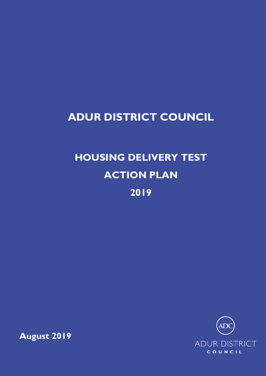# **ADUR DISTRICT COUNCIL**

# **HOUSING DELIVERY TEST ACTION PLAN 2019**



**August 2019**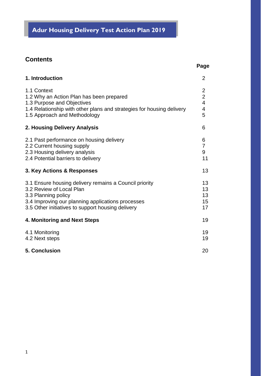## **Adur Housing Delivery Test Action Plan 2019**

## **Contents**

## **Page**

| 1. Introduction                                                                                                                                                                                                     | $\overline{2}$                                                        |
|---------------------------------------------------------------------------------------------------------------------------------------------------------------------------------------------------------------------|-----------------------------------------------------------------------|
| 1.1 Context<br>1.2 Why an Action Plan has been prepared<br>1.3 Purpose and Objectives<br>1.4 Relationship with other plans and strategies for housing delivery<br>1.5 Approach and Methodology                      | $\overline{c}$<br>$\overline{c}$<br>$\overline{\mathbf{4}}$<br>4<br>5 |
| 2. Housing Delivery Analysis                                                                                                                                                                                        | 6                                                                     |
| 2.1 Past performance on housing delivery<br>2.2 Current housing supply<br>2.3 Housing delivery analysis<br>2.4 Potential barriers to delivery                                                                       | 6<br>$\overline{7}$<br>9<br>11                                        |
| 3. Key Actions & Responses                                                                                                                                                                                          | 13                                                                    |
| 3.1 Ensure housing delivery remains a Council priority<br>3.2 Review of Local Plan<br>3.3 Planning policy<br>3.4 Improving our planning applications processes<br>3.5 Other initiatives to support housing delivery | 13<br>13<br>13<br>15<br>17                                            |
| 4. Monitoring and Next Steps                                                                                                                                                                                        | 19                                                                    |
| 4.1 Monitoring<br>4.2 Next steps                                                                                                                                                                                    | 19<br>19                                                              |
| 5. Conclusion                                                                                                                                                                                                       | 20                                                                    |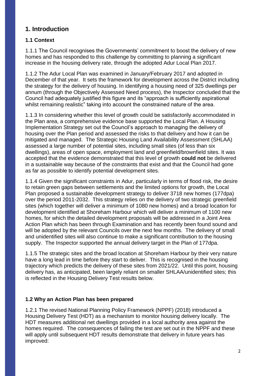## **1. Introduction**

## **1.1 Context**

1.1.1 The Council recognises the Governments' commitment to boost the delivery of new homes and has responded to this challenge by committing to planning a significant increase in the housing delivery rate, through the adopted Adur Local Plan 2017.

1.1.2 The Adur Local Plan was examined in January/February 2017 and adopted in December of that year. It sets the framework for development across the District including the strategy for the delivery of housing. In identifying a housing need of 325 dwellings per annum (through the Objectively Assessed Need process), the Inspector concluded that the Council had adequately justified this figure and its "approach is sufficiently aspirational whilst remaining realistic" taking into account the constrained nature of the area.

1.1.3 In considering whether this level of growth could be satisfactorily accommodated in the Plan area, a comprehensive evidence base supported the Local Plan. A Housing Implementation Strategy set out the Council's approach to managing the delivery of housing over the Plan period and assessed the risks to that delivery and how it can be mitigated and managed. The Strategic Housing Land Availability Assessment (SHLAA) assessed a large number of potential sites, including small sites (of less than six dwellings), areas of open space, employment land and greenfield/brownfield sites. It was accepted that the evidence demonstrated that this level of growth **could not** be delivered in a sustainable way because of the constraints that exist and that the Council had gone as far as possible to identify potential development sites.

1.1.4 Given the significant constraints in Adur, particularly in terms of flood risk, the desire to retain green gaps between settlements and the limited options for growth, the Local Plan proposed a sustainable development strategy to deliver 3718 new homes (177dpa) over the period 2011-2032. This strategy relies on the delivery of two strategic greenfield sites (which together will deliver a minimum of 1080 new homes) and a broad location for development identified at Shoreham Harbour which will deliver a minimum of 1100 new homes, for which the detailed development proposals will be addressed in a Joint Area Action Plan which has been through Examination and has recently been found sound and will be adopted by the relevant Councils over the next few months. The delivery of small and unidentified sites will also continue to make a significant contribution to the housing supply. The Inspector supported the annual delivery target in the Plan of 177dpa.

1.1.5 The strategic sites and the broad location at Shoreham Harbour by their very nature have a long lead in time before they start to deliver. This is recognised in the housing trajectory which predicts the delivery of these sites from 2021/22. Until this point, housing delivery has, as anticipated, been largely reliant on smaller SHLAA/unidentified sites; this is reflected in the Housing Delivery Test results below.

## **1.2 Why an Action Plan has been prepared**

1.2.1 The revised National Planning Policy Framework (NPPF) (2018) introduced a Housing Delivery Test (HDT) as a mechanism to monitor housing delivery locally. The HDT measures additional net dwellings provided in a local authority area against the homes required. The consequences of failing the test are set out in the NPPF and these will apply until subsequent HDT results demonstrate that delivery in future years has improved: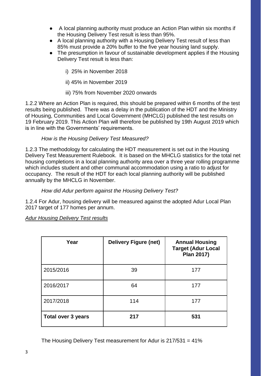- A local planning authority must produce an Action Plan within six months if the Housing Delivery Test result is less than 95%.
- A local planning authority with a Housing Delivery Test result of less than 85% must provide a 20% buffer to the five year housing land supply.
- The presumption in favour of sustainable development applies if the Housing Delivery Test result is less than:
	- i) 25% in November 2018
	- ii) 45% in November 2019
	- iii) 75% from November 2020 onwards

1.2.2 Where an Action Plan is required, this should be prepared within 6 months of the test results being published. There was a delay in the publication of the HDT and the Ministry of Housing, Communities and Local Government (MHCLG) published the test results on 19 February 2019. This Action Plan will therefore be published by 19th August 2019 which is in line with the Governments' requirements.

#### *How is the Housing Delivery Test Measured?*

1.2.3 The methodology for calculating the HDT measurement is set out in the Housing Delivery Test Measurement Rulebook. It is based on the MHCLG statistics for the total net housing completions in a local planning authority area over a three year rolling programme which includes student and other communal accommodation using a ratio to adjust for occupancy. The result of the HDT for each local planning authority will be published annually by the MHCLG in November.

#### *How did Adur perform against the Housing Delivery Test?*

1.2.4 For Adur, housing delivery will be measured against the adopted Adur Local Plan 2017 target of 177 homes per annum.

#### *Adur Housing Delivery Test results*

| Year                      | <b>Delivery Figure (net)</b> | <b>Annual Housing</b><br><b>Target (Adur Local</b><br>Plan 2017) |
|---------------------------|------------------------------|------------------------------------------------------------------|
| 2015/2016                 | 39                           | 177                                                              |
| 2016/2017                 | 64                           | 177                                                              |
| 2017/2018                 | 114                          | 177                                                              |
| <b>Total over 3 years</b> | 217                          | 531                                                              |

The Housing Delivery Test measurement for Adur is 217/531 = 41%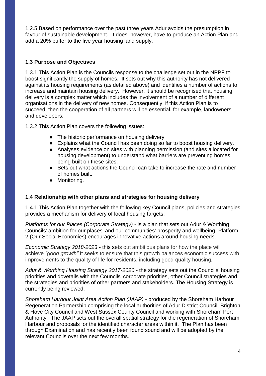1.2.5 Based on performance over the past three years Adur avoids the presumption in favour of sustainable development. It does, however, have to produce an Action Plan and add a 20% buffer to the five year housing land supply.

#### **1.3 Purpose and Objectives**

1.3.1 This Action Plan is the Councils response to the challenge set out in the NPPF to boost significantly the supply of homes. It sets out why this authority has not delivered against its housing requirements (as detailed above) and identifies a number of actions to increase and maintain housing delivery. However, it should be recognised that housing delivery is a complex matter which includes the involvement of a number of different organisations in the delivery of new homes. Consequently, if this Action Plan is to succeed, then the cooperation of all partners will be essential, for example, landowners and developers.

1.3.2 This Action Plan covers the following issues:

- The historic performance on housing delivery.
- Explains what the Council has been doing so far to boost housing delivery.
- Analyses evidence on sites with planning permission (and sites allocated for housing development) to understand what barriers are preventing homes being built on these sites.
- Sets out what actions the Council can take to increase the rate and number of homes built.
- Monitoring.

#### **1.4 Relationship with other plans and strategies for housing delivery**

1.4.1 This Action Plan together with the following key Council plans, policies and strategies provides a mechanism for delivery of local housing targets:

*Platforms for our Places (Corporate Strategy)* - is a plan that sets out Adur & Worthing Councils' ambition for our places' and our communities' prosperity and wellbeing. Platform 2 (Our Social Economies) encourages innovative actions around housing needs.

*Economic Strategy 2018-2023* - this sets out ambitious plans for how the place will achieve *"good growth"* It seeks to ensure that this growth balances economic success with improvements to the quality of life for residents, including good quality housing.

*Adur & Worthing Housing Strategy 2017-2020 -* the strategy sets out the Councils' housing priorities and dovetails with the Councils' corporate priorities, other Council strategies and the strategies and priorities of other partners and stakeholders. The Housing Strategy is currently being reviewed.

*Shoreham Harbour Joint Area Action Plan (JAAP)* - produced by the Shoreham Harbour Regeneration Partnership comprising the local authorities of Adur District Council, Brighton & Hove City Council and West Sussex County Council and working with Shoreham Port Authority. The JAAP sets out the overall spatial strategy for the regeneration of Shoreham Harbour and proposals for the identified character areas within it. The Plan has been through Examination and has recently been found sound and will be adopted by the relevant Councils over the next few months.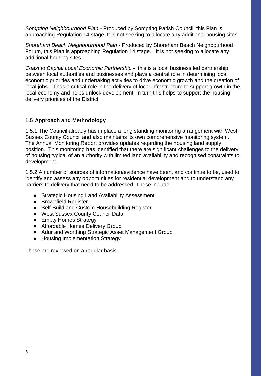*Sompting Neighbourhood Plan -* Produced by Sompting Parish Council, this Plan is approaching Regulation 14 stage. It is not seeking to allocate any additional housing sites.

*Shoreham Beach Neighbourhood Plan -* Produced by Shoreham Beach Neighbourhood Forum, this Plan is approaching Regulation 14 stage. It is not seeking to allocate any additional housing sites.

*Coast to Capital Local Economic Partnership* - this is a local business led partnership between local authorities and businesses and plays a central role in determining local economic priorities and undertaking activities to drive economic growth and the creation of local jobs. It has a critical role in the delivery of local infrastructure to support growth in the local economy and helps unlock development. In turn this helps to support the housing delivery priorities of the District.

#### **1.5 Approach and Methodology**

1.5.1 The Council already has in place a long standing monitoring arrangement with West Sussex County Council and also maintains its own comprehensive monitoring system. The Annual Monitoring Report provides updates regarding the housing land supply position. This monitoring has identified that there are significant challenges to the delivery of housing typical of an authority with limited land availability and recognised constraints to development.

1.5.2 A number of sources of information/evidence have been, and continue to be, used to identify and assess any opportunities for residential development and to understand any barriers to delivery that need to be addressed. These include:

- Strategic Housing Land Availability Assessment
- Brownfield Register
- Self-Build and Custom Housebuilding Register
- West Sussex County Council Data
- Empty Homes Strategy
- Affordable Homes Delivery Group
- Adur and Worthing Strategic Asset Management Group
- Housing Implementation Strategy

These are reviewed on a regular basis.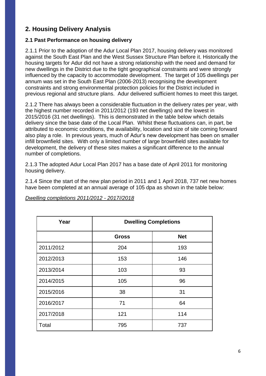## **2. Housing Delivery Analysis**

#### **2.1 Past Performance on housing delivery**

2.1.1 Prior to the adoption of the Adur Local Plan 2017, housing delivery was monitored against the South East Plan and the West Sussex Structure Plan before it. Historically the housing targets for Adur did not have a strong relationship with the need and demand for new dwellings in the District due to the tight geographical constraints and were strongly influenced by the capacity to accommodate development. The target of 105 dwellings per annum was set in the South East Plan (2006-2013) recognising the development constraints and strong environmental protection policies for the District included in previous regional and structure plans. Adur delivered sufficient homes to meet this target.

2.1.2 There has always been a considerable fluctuation in the delivery rates per year, with the highest number recorded in 2011/2012 (193 net dwellings) and the lowest in 2015/2016 (31 net dwellings). This is demonstrated in the table below which details delivery since the base date of the Local Plan. Whilst these fluctuations can, in part, be attributed to economic conditions, the availability, location and size of site coming forward also play a role. In previous years, much of Adur's new development has been on smaller infill brownfield sites. With only a limited number of large brownfield sites available for development, the delivery of these sites makes a significant difference to the annual number of completions.

2.1.3 The adopted Adur Local Plan 2017 has a base date of April 2011 for monitoring housing delivery.

2.1.4 Since the start of the new plan period in 2011 and 1 April 2018, 737 net new homes have been completed at an annual average of 105 dpa as shown in the table below:

| Year      | <b>Dwelling Completions</b> |            |  |  |
|-----------|-----------------------------|------------|--|--|
|           | <b>Gross</b>                | <b>Net</b> |  |  |
| 2011/2012 | 204                         | 193        |  |  |
| 2012/2013 | 153                         | 146        |  |  |
| 2013/2014 | 103                         | 93         |  |  |
| 2014/2015 | 105                         | 96         |  |  |
| 2015/2016 | 38                          | 31         |  |  |
| 2016/2017 | 71                          | 64         |  |  |
| 2017/2018 | 121                         | 114        |  |  |
| Total     | 795                         | 737        |  |  |

#### *Dwelling completions 2011/2012 - 2017//2018*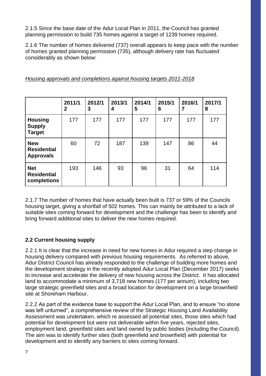2.1.5 Since the base date of the Adur Local Plan in 2011, the Council has granted planning permission to build 735 homes against a target of 1239 homes required.

2.1.6 The number of homes delivered (737) overall appears to keep pace with the number of homes granted planning permission (735), although delivery rate has fluctuated considerably as shown below:

|                                                      | 2011/1<br>$\mathbf 2$ | 2012/1<br>3 | 2013/1<br>4 | 2014/1<br>5 | 2015/1<br>6 | 2016/1<br>7 | 2017/1<br>8 |
|------------------------------------------------------|-----------------------|-------------|-------------|-------------|-------------|-------------|-------------|
| <b>Housing</b><br><b>Supply</b><br><b>Target</b>     | 177                   | 177         | 177         | 177         | 177         | 177         | 177         |
| <b>New</b><br><b>Residential</b><br><b>Approvals</b> | 60                    | 72          | 187         | 139         | 147         | 86          | 44          |
| <b>Net</b><br><b>Residential</b><br>completions      | 193                   | 146         | 93          | 96          | 31          | 64          | 114         |

*Housing approvals and completions against housing targets 2011-2018*

2.1.7 The number of homes that have actually been built is 737 or 59% of the Councils housing target, giving a shortfall of 502 homes. This can mainly be attributed to a lack of suitable sites coming forward for development and the challenge has been to identify and bring forward additional sites to deliver the new homes required.

## **2.2 Current housing supply**

2.2.1 It is clear that the increase in need for new homes in Adur required a step change in housing delivery compared with previous housing requirements. As referred to above, Adur District Council has already responded to the challenge of building more homes and the development strategy in the recently adopted Adur Local Plan (December 2017) seeks to increase and accelerate the delivery of new housing across the District. It has allocated land to accommodate a minimum of 3,718 new homes (177 per annum), including two large strategic greenfield sites and a broad location for development on a large brownfield site at Shoreham Harbour.

2.2.2 As part of the evidence base to support the Adur Local Plan, and to ensure "no stone was left unturned", a comprehensive review of the Strategic Housing Land Availability Assessment was undertaken, which re assessed all potential sites, those sites which had potential for development but were not deliverable within five years, rejected sites, employment land, greenfield sites and land owned by public bodies (including the Council). The aim was to identify further sites (both greenfield and brownfield) with potential for development and to identify any barriers to sites coming forward.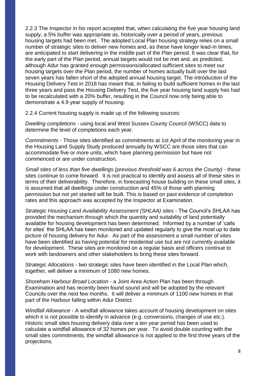2.2.3 The Inspector in his report accepted that, when calculating the five year housing land supply, a 5% buffer was appropriate as, historically over a period of years, previous housing targets had been met. The adopted Local Plan housing strategy relies on a small number of strategic sites to deliver new homes and, as these have longer lead-in times, are anticipated to start delivering in the middle part of the Plan period. It was clear that, for the early part of the Plan period, annual targets would not be met and, as predicted, although Adur has granted enough permissions/allocated sufficient sites to meet our housing targets over the Plan period, the number of homes actually built over the last seven years has fallen short of the adopted annual housing target. The introduction of the Housing Delivery Test in 2018 has meant that, in failing to build sufficient homes in the last three years and pass the Housing Delivery Test, the five year housing land supply has had to be recalculated with a 20% buffer, resulting in the Council now only being able to demonstrate a 4.9 year supply of housing.

2.2.4 Current housing supply is made up of the following sources:

*Dwelling completions* - using local and West Sussex County Council (WSCC) data to determine the level of completions each year.

*Commitments* - Those sites identified as commitments at 1st April of the monitoring year in the Housing Land Supply Study produced annually by WSCC are those sites that can accommodate five or more units, which have planning permission but have not commenced or are under construction.

*Small sites of less than five dwellings (previous threshold was 6 across the County)* - these sites continue to come forward. It is not practical to identify and assess all of these sites in terms of their deliverability. Therefore, in forecasting house building on these small sites, it is assumed that all dwellings under construction and 45% of those with planning permission but not yet started will be built. This is based on past evidence of completion rates and this approach was accepted by the Inspector at Examination.

*Strategic Housing Land Availability Assessment (SHLAA) sites* - The Council's SHLAA has provided the mechanism through which the quantity and suitability of land potentially available for housing development has been determined. Informed by a number of 'calls for sites' the SHLAA has been monitored and updated regularly to give the most up to date picture of housing delivery for Adur. As part of the assessment a small number of sites have been identified as having potential for residential use but are not currently available for development. These sites are monitored on a regular basis and officers continue to work with landowners and other stakeholders to bring these sites forward.

*Strategic Allocations* - two strategic sites have been identified in the Local Plan which, together, will deliver a minimum of 1080 new homes.

*Shoreham Harbour Broad Location* - a Joint Area Action Plan has been through Examination and has recently been found sound and will be adopted by the relevant Councils over the next few months. It will deliver a minimum of 1100 new homes in that part of the Harbour falling within Adur District.

*Windfall Allowance* - A windfall allowance takes account of housing development on sites which it is not possible to identify in advance (e.g. conversions, changes of use etc.). Historic small sites housing delivery data over a ten year period has been used to calculate a windfall allowance of 32 homes per year. To avoid double counting with the small sites commitments, the windfall allowance is not applied to the first three years of the projections.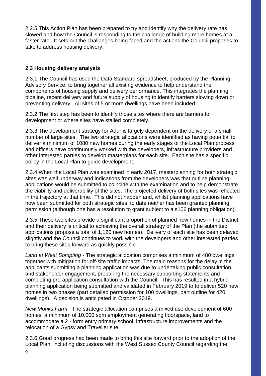2.2.5 This Action Plan has been prepared to try and identify why the delivery rate has slowed and how the Council is responding to the challenge of building more homes at a faster rate. It sets out the challenges being faced and the actions the Council proposes to take to address housing delivery.

## **2.3 Housing delivery analysis**

2.3.1 The Council has used the Data Standard spreadsheet, produced by the Planning Advisory Service, to bring together all existing evidence to help understand the components of housing supply and delivery performance. This integrates the planning pipeline, recent delivery and future supply of housing to identify barriers slowing down or preventing delivery. All sites of 5 or more dwellings have been included.

2.3.2 The first step has been to identify those sites where there are barriers to development or where sites have stalled completely.

2.3.3 The development strategy for Adur is largely dependent on the delivery of a small number of large sites. The two strategic allocations were identified as having potential to deliver a minimum of 1080 new homes during the early stages of the Local Plan process and officers have continuously worked with the developers, infrastructure providers and other interested parties to develop masterplans for each site. Each site has a specific policy in the Local Plan to guide development.

2.3.4 When the Local Plan was examined in early 2017, masterplanning for both strategic sites was well underway and indications from the developers was that outline planning applications would be submitted to coincide with the examination and to help demonstrate the viability and deliverability of the sites. The projected delivery of both sites was reflected in the trajectory at that time. This did not happen and, whilst planning applications have now been submitted for both strategic sites, to date neither has been granted planning permission (although one has a resolution to grant subject to a s106 planning obligation).

2.3.5 These two sites provide a significant proportion of planned new homes in the District and their delivery is critical to achieving the overall strategy of the Plan (the submitted applications propose a total of 1,120 new homes). Delivery of each site has been delayed slightly and the Council continues to work with the developers and other interested parties to bring these sites forward as quickly possible.

*Land at West Sompting -* The strategic allocation comprises a minimum of 480 dwellings together with mitigation for off-site traffic impacts. The main reasons for the delay in the applicants submitting a planning application was due to undertaking public consultation and stakeholder engagement, preparing the necessary supporting statements and completing pre-application consultation with the Council. This has resulted in a hybrid planning application being submitted and validated in February 2019 to to deliver 520 new homes in two phases (part detailed permission for 100 dwellings, part outline for 420 dwellings). A decision is anticipated in October 2019.

*New Monks Farm* - The strategic allocation comprises a mixed use development of 600 homes, a minimum of 10,000 sqm employment generating floorspace, land to accommodate a 2 - form entry primary school, infrastructure improvements and the relocation of a Gypsy and Traveller site.

2.3.6 Good progress had been made to bring this site forward prior to the adoption of the Local Plan, including discussions with the West Sussex County Council regarding the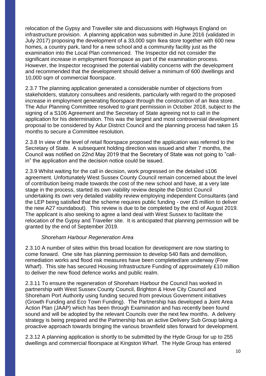relocation of the Gypsy and Traveller site and discussions with Highways England on infrastructure provision. A planning application was submitted in June 2016 (validated in July 2017) proposing the development of a 33,000 sqm Ikea store together with 600 new homes, a country park, land for a new school and a community facility just as the examination into the Local Plan commenced. The Inspector did not consider the significant increase in employment floorspace as part of the examination process. However, the Inspector recognised the potential viability concerns with the development and recommended that the development should deliver a minimum of 600 dwellings and 10,000 sqm of commercial floorspace.

2.3.7 The planning application generated a considerable number of objections from stakeholders, statutory consultees and residents, particularly with regard to the proposed increase in employment generating floorspace through the construction of an Ikea store. The Adur Planning Committee resolved to grant permission in October 2018, subject to the signing of a S106 Agreement and the Secretary of State agreeing not to call in the application for his determination. This was the largest and most controversial development proposal to be considered by Adur District Council and the planning process had taken 15 months to secure a Committee resolution.

2.3.8 In view of the level of retail floorspace proposed the application was referred to the Secretary of State. A subsequent holding direction was issued and after 7 months, the Council was notified on 22nd May 2019 that the Secretary of State was not going to "callin" the application and the decision notice could be issued.

2.3.9 Whilst waiting for the call in decision, work progressed on the detailed s106 agreement. Unfortunately West Sussex County Council remain concerned about the level of contribution being made towards the cost of the new school and have, at a very late stage in the process, started its own viability review despite the District Council undertaking its own very detailed viability review employing independent Consultants (and the LEP being satisfied that the scheme requires public funding - over £5 million to deliver the new A27 roundabout). This review is due to be completed by the end of August 2019. The applicant is also seeking to agree a land deal with West Sussex to facilitate the relocation of the Gypsy and Traveller site. It is anticipated that planning permission will be granted by the end of September 2019.

#### *Shoreham Harbour Regeneration Area*

2.3.10 A number of sites within this broad location for development are now starting to come forward. One site has planning permission to develop 540 flats and demolition, remediation works and flood risk measures have been completed/are underway (Free Wharf). This site has secured Housing Infrastructure Funding of approximately £10 million to deliver the new flood defence works and public realm.

2.3.11 To ensure the regeneration of Shoreham Harbour the Council has worked in partnership with West Sussex County Council, Brighton & Hove City Council and Shoreham Port Authority using funding secured from previous Government initiatives (Growth Funding and Eco Town Funding). The Partnership has developed a Joint Area Action Plan (JAAP) which has been through Examination and has recently been found sound and will be adopted by the relevant Councils over the next few months. A delivery strategy is being prepared and the Partnership has an active Delivery Sub Group taking a proactive approach towards bringing the various brownfield sites forward for development.

2.3.12 A planning application is shortly to be submitted by the Hyde Group for up to 255 dwellings and commercial floorspace at Kingston Wharf. The Hyde Group has entered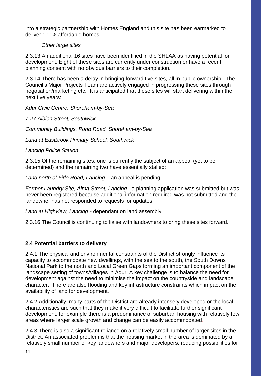into a strategic partnership with Homes England and this site has been earmarked to deliver 100% affordable homes.

#### *Other large sites*

2.3.13 An additional 16 sites have been identified in the SHLAA as having potential for development. Eight of these sites are currently under construction or have a recent planning consent with no obvious barriers to their completion.

2.3.14 There has been a delay in bringing forward five sites, all in public ownership. The Council's Major Projects Team are actively engaged in progressing these sites through negotiation/marketing etc. It is anticipated that these sites will start delivering within the next five years:

*Adur Civic Centre, Shoreham-by-Sea* 

*7-27 Albion Street, Southwick*

*Community Buildings, Pond Road, Shoreham-by-Sea*

*Land at Eastbrook Primary School, Southwick*

*Lancing Police Station*

2.3.15 Of the remaining sites, one is currently the subject of an appeal (yet to be determined) and the remaining two have essentially stalled:

*Land north of Firle Road, Lancing* – an appeal is pending.

*Former Laundry Site, Alma Street, Lancing -* a planning application was submitted but was never been registered because additional information required was not submitted and the landowner has not responded to requests for updates

*Land at Highview, Lancing -* dependant on land assembly.

2.3.16 The Council is continuing to liaise with landowners to bring these sites forward.

#### **2.4 Potential barriers to delivery**

2.4.1 The physical and environmental constraints of the District strongly influence its capacity to accommodate new dwellings, with the sea to the south, the South Downs National Park to the north and Local Green Gaps forming an important component of the landscape setting of towns/villages in Adur. A key challenge is to balance the need for development against the need to minimise the impact on the countryside and landscape character. There are also flooding and key infrastructure constraints which impact on the availability of land for development.

2.4.2 Additionally, many parts of the District are already intensely developed or the local characteristics are such that they make it very difficult to facilitate further significant development; for example there is a predominance of suburban housing with relatively few areas where larger scale growth and change can be easily accommodated.

2.4.3 There is also a significant reliance on a relatively small number of larger sites in the District. An associated problem is that the housing market in the area is dominated by a relatively small number of key landowners and major developers, reducing possibilities for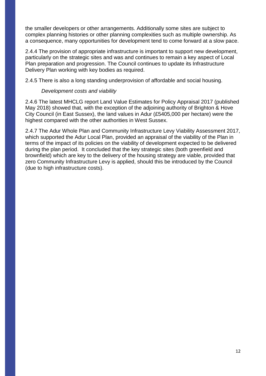the smaller developers or other arrangements. Additionally some sites are subject to complex planning histories or other planning complexities such as multiple ownership. As a consequence, many opportunities for development tend to come forward at a slow pace.

2.4.4 The provision of appropriate infrastructure is important to support new development, particularly on the strategic sites and was and continues to remain a key aspect of Local Plan preparation and progression. The Council continues to update its Infrastructure Delivery Plan working with key bodies as required.

2.4.5 There is also a long standing underprovision of affordable and social housing.

#### *Development costs and viability*

2.4.6 The latest MHCLG report Land Value Estimates for Policy Appraisal 2017 (published May 2018) showed that, with the exception of the adjoining authority of Brighton & Hove City Council (in East Sussex), the land values in Adur (£5405,000 per hectare) were the highest compared with the other authorities in West Sussex.

2.4.7 The Adur Whole Plan and Community Infrastructure Levy Viability Assessment 2017, which supported the Adur Local Plan, provided an appraisal of the viability of the Plan in terms of the impact of its policies on the viability of development expected to be delivered during the plan period. It concluded that the key strategic sites (both greenfield and brownfield) which are key to the delivery of the housing strategy are viable, provided that zero Community Infrastructure Levy is applied, should this be introduced by the Council (due to high infrastructure costs).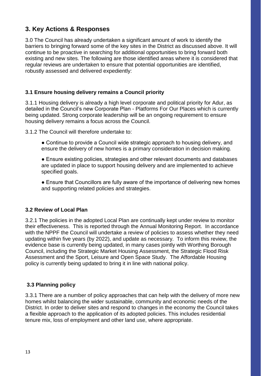## **3. Key Actions & Responses**

3.0 The Council has already undertaken a significant amount of work to identify the barriers to bringing forward some of the key sites in the District as discussed above. It will continue to be proactive in searching for additional opportunities to bring forward both existing and new sites. The following are those identified areas where it is considered that regular reviews are undertaken to ensure that potential opportunities are identified, robustly assessed and delivered expediently:

#### **3.1 Ensure housing delivery remains a Council priority**

3.1.1 Housing delivery is already a high level corporate and political priority for Adur, as detailed in the Council's new Corporate Plan - Platforms For Our Places which is currently being updated. Strong corporate leadership will be an ongoing requirement to ensure housing delivery remains a focus across the Council.

3.1.2 The Council will therefore undertake to:

- Continue to provide a Council wide strategic approach to housing delivery, and ensure the delivery of new homes is a primary consideration in decision making.
- Ensure existing policies, strategies and other relevant documents and databases are updated in place to support housing delivery and are implemented to achieve specified goals.
- Ensure that Councillors are fully aware of the importance of delivering new homes and supporting related policies and strategies.

#### **3.2 Review of Local Plan**

3.2.1 The policies in the adopted Local Plan are continually kept under review to monitor their effectiveness. This is reported through the Annual Monitoring Report. In accordance with the NPPF the Council will undertake a review of policies to assess whether they need updating within five years (by 2022), and update as necessary. To inform this review, the evidence base is currently being updated, in many cases jointly with Worthing Borough Council, including the Strategic Market Housing Assessment, the Strategic Flood Risk Assessment and the Sport, Leisure and Open Space Study. The Affordable Housing policy is currently being updated to bring it in line with national policy.

#### **3.3 Planning policy**

3.3.1 There are a number of policy approaches that can help with the delivery of more new homes whilst balancing the wider sustainable, community and economic needs of the District. In order to deliver sites and respond to changes in the economy the Council takes a flexible approach to the application of its adopted policies. This includes residential tenure mix, loss of employment and other land use, where appropriate.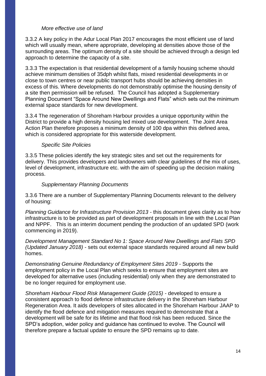#### *More effective use of land*

3.3.2 A key policy in the Adur Local Plan 2017 encourages the most efficient use of land which will usually mean, where appropriate, developing at densities above those of the surrounding areas. The optimum density of a site should be achieved through a design led approach to determine the capacity of a site.

3.3.3 The expectation is that residential development of a family housing scheme should achieve minimum densities of 35dph whilst flats, mixed residential developments in or close to town centres or near public transport hubs should be achieving densities in excess of this. Where developments do not demonstrably optimise the housing density of a site then permission will be refused. The Council has adopted a Supplementary Planning Document "Space Around New Dwellings and Flats" which sets out the minimum external space standards for new development.

3.3.4 The regeneration of Shoreham Harbour provides a unique opportunity within the District to provide a high density housing led mixed use development. The Joint Area Action Plan therefore proposes a minimum density of 100 dpa within this defined area, which is considered appropriate for this waterside development.

#### *Specific Site Policies*

3.3.5 These policies identify the key strategic sites and set out the requirements for delivery. This provides developers and landowners with clear guidelines of the mix of uses, level of development, infrastructure etc. with the aim of speeding up the decision making process.

#### *Supplementary Planning Documents*

3.3.6 There are a number of Supplementary Planning Documents relevant to the delivery of housing:

*Planning Guidance for Infrastructure Provision 2013* - this document gives clarity as to how infrastructure is to be provided as part of development proposals in line with the Local Plan and NPPF. This is an interim document pending the production of an updated SPD (work commencing in 2019).

*Development Management Standard No 1: Space Around New Dwellings and Flats SPD (Updated January 2018)* - sets out external space standards required around all new build homes.

*Demonstrating Genuine Redundancy of Employment Sites 2019* - Supports the employment policy in the Local Plan which seeks to ensure that employment sites are developed for alternative uses (including residential) only when they are demonstrated to be no longer required for employment use.

*Shoreham Harbour Flood Risk Management Guide (2015)* - developed to ensure a consistent approach to flood defence infrastructure delivery in the Shoreham Harbour Regeneration Area. It aids developers of sites allocated in the Shoreham Harbour JAAP to identify the flood defence and mitigation measures required to demonstrate that a development will be safe for its lifetime and that flood risk has been reduced. Since the SPD's adoption, wider policy and guidance has continued to evolve. The Council will therefore prepare a factual update to ensure the SPD remains up to date.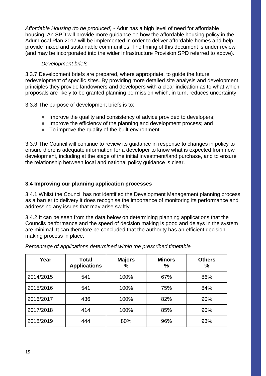*Affordable Housing (to be produced)* - Adur has a high level of need for affordable housing. An SPD will provide more guidance on how the affordable housing policy in the Adur Local Plan 2017 will be implemented in order to deliver affordable homes and help provide mixed and sustainable communities. The timing of this document is under review (and may be incorporated into the wider Infrastructure Provision SPD referred to above).

#### *Development briefs*

3.3.7 Development briefs are prepared, where appropriate, to guide the future redevelopment of specific sites. By providing more detailed site analysis and development principles they provide landowners and developers with a clear indication as to what which proposals are likely to be granted planning permission which, in turn, reduces uncertainty.

3.3.8 The purpose of development briefs is to:

- Improve the quality and consistency of advice provided to developers;
- Improve the efficiency of the planning and development process; and
- To improve the quality of the built environment.

3.3.9 The Council will continue to review its guidance in response to changes in policy to ensure there is adequate information for a developer to know what is expected from new development, including at the stage of the initial investment/land purchase, and to ensure the relationship between local and national policy guidance is clear.

#### **3.4 Improving our planning application processes**

3.4.1 Whilst the Council has not identified the Development Management planning process as a barrier to delivery it does recognise the importance of monitoring its performance and addressing any issues that may arise swiftly.

3.4.2 It can be seen from the data below on determining planning applications that the Councils performance and the speed of decision making is good and delays in the system are minimal. It can therefore be concluded that the authority has an efficient decision making process in place.

| Year      | <b>Total</b><br><b>Applications</b> | <b>Majors</b><br>% | <b>Minors</b><br>$\%$ | <b>Others</b><br>$\frac{9}{6}$ |
|-----------|-------------------------------------|--------------------|-----------------------|--------------------------------|
| 2014/2015 | 541                                 | 100%               | 67%                   | 86%                            |
| 2015/2016 | 541                                 | 100%               | 75%                   | 84%                            |
| 2016/2017 | 436                                 | 100%               | 82%                   | 90%                            |
| 2017/2018 | 414                                 | 100%               | 85%                   | 90%                            |
| 2018/2019 | 444                                 | 80%                | 96%                   | 93%                            |

*Percentage of applications determined within the prescribed timetable*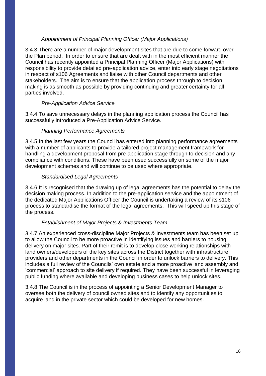#### *Appointment of Principal Planning Officer (Major Applications)*

3.4.3 There are a number of major development sites that are due to come forward over the Plan period. In order to ensure that are dealt with in the most efficient manner the Council has recently appointed a Principal Planning Officer (Major Applications) with responsibility to provide detailed pre-application advice, enter into early stage negotiations in respect of s106 Agreements and liaise with other Council departments and other stakeholders. The aim is to ensure that the application process through to decision making is as smooth as possible by providing continuing and greater certainty for all parties involved.

#### *Pre-Application Advice Service*

3.4.4 To save unnecessary delays in the planning application process the Council has successfully introduced a Pre-Application Advice Service.

#### *Planning Performance Agreements*

3.4.5 In the last few years the Council has entered into planning performance agreements with a number of applicants to provide a tailored project management framework for handling a development proposal from pre-application stage through to decision and any compliance with conditions. These have been used successfully on some of the major development schemes and will continue to be used where appropriate.

#### *Standardised Legal Agreements*

3.4.6 It is recognised that the drawing up of legal agreements has the potential to delay the decision making process. In addition to the pre-application service and the appointment of the dedicated Major Applications Officer the Council is undertaking a review of its s106 process to standardise the format of the legal agreements. This will speed up this stage of the process.

#### *Establishment of Major Projects & Investments Team*

3.4.7 An experienced cross-discipline Major Projects & Investments team has been set up to allow the Council to be more proactive in identifying issues and barriers to housing delivery on major sites. Part of their remit is to develop close working relationships with land owners/developers of the key sites across the District together with infrastructure providers and other departments in the Council in order to unlock barriers to delivery. This includes a full review of the Councils' own estate and a more proactive land assembly and 'commercial' approach to site delivery if required. They have been successful in leveraging public funding where available and developing business cases to help unlock sites.

3.4.8 The Council is in the process of appointing a Senior Development Manager to oversee both the delivery of council owned sites and to identify any opportunities to acquire land in the private sector which could be developed for new homes.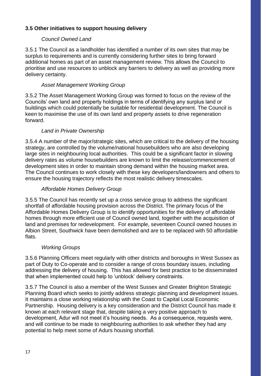## **3.5 Other initiatives to support housing delivery**

#### *Council Owned Land*

3.5.1 The Council as a landholder has identified a number of its own sites that may be surplus to requirements and is currently considering further sites to bring forward additional homes as part of an asset management review. This allows the Council to prioritise and use resources to unblock any barriers to delivery as well as providing more delivery certainty.

#### *Asset Management Working Group*

3.5.2 The Asset Management Working Group was formed to focus on the review of the Councils' own land and property holdings in terms of identifying any surplus land or buildings which could potentially be suitable for residential development. The Council is keen to maximise the use of its own land and property assets to drive regeneration forward.

#### *Land in Private Ownership*

3.5.4 A number of the major/strategic sites, which are critical to the delivery of the housing strategy, are controlled by the volume/national housebuilders who are also developing large sites in neighbouring local authorities. This could be a significant factor in slowing delivery rates as volume housebuilders are known to limit the release/commencement of development sites in order to maintain strong demand within the housing market area. The Council continues to work closely with these key developers/landowners and others to ensure the housing trajectory reflects the most realistic delivery timescales.

#### *Affordable Homes Delivery Group*

3.5.5 The Council has recently set up a cross service group to address the significant shortfall of affordable housing provision across the District. The primary focus of the Affordable Homes Delivery Group is to identify opportunities for the delivery of affordable homes through more efficient use of Council owned land, together with the acquisition of land and premises for redevelopment. For example, seventeen Council owned houses in Albion Street, Southwick have been demolished and are to be replaced with 50 affordable flats.

#### *Working Groups*

3.5.6 Planning Officers meet regularly with other districts and boroughs in West Sussex as part of Duty to Co-operate and to consider a range of cross boundary issues, including addressing the delivery of housing. This has allowed for best practice to be disseminated that when implemented could help to 'unblock' delivery constraints.

3.5.7 The Council is also a member of the West Sussex and Greater Brighton Strategic Planning Board which seeks to jointly address strategic planning and development issues. It maintains a close working relationship with the Coast to Capital Local Economic Partnership. Housing delivery is a key consideration and the District Council has made it known at each relevant stage that, despite taking a very positive approach to development, Adur will not meet it's housing needs. As a consequence, requests were, and will continue to be made to neighbouring authorities to ask whether they had any potential to help meet some of Adurs housing shortfall.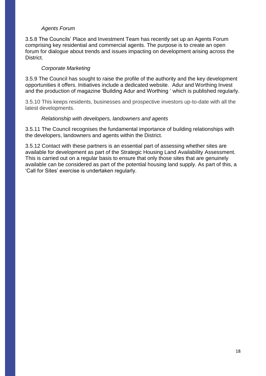#### *Agents Forum*

3.5.8 The Councils' Place and Investment Team has recently set up an Agents Forum comprising key residential and commercial agents. The purpose is to create an open forum for dialogue about trends and issues impacting on development arising across the District.

#### *Corporate Marketing*

3.5.9 The Council has sought to raise the profile of the authority and the key development opportunities it offers. Initiatives include a dedicated website. Adur and Worthing Invest and the production of magazine 'Building Adur and Worthing ' which is published regularly.

3.5.10 This keeps residents, businesses and prospective investors up-to-date with all the latest developments.

#### *Relationship with developers, landowners and agents*

3.5.11 The Council recognises the fundamental importance of building relationships with the developers, landowners and agents within the District.

3.5.12 Contact with these partners is an essential part of assessing whether sites are available for development as part of the Strategic Housing Land Availability Assessment. This is carried out on a regular basis to ensure that only those sites that are genuinely available can be considered as part of the potential housing land supply. As part of this, a 'Call for Sites' exercise is undertaken regularly.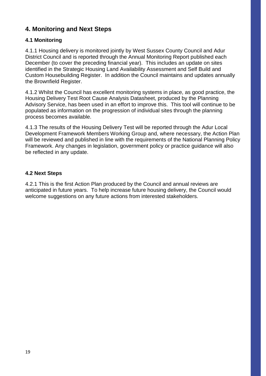## **4. Monitoring and Next Steps**

## **4.1 Monitoring**

4.1.1 Housing delivery is monitored jointly by West Sussex County Council and Adur District Council and is reported through the Annual Monitoring Report published each December (to cover the preceding financial year). This includes an update on sites identified in the Strategic Housing Land Availability Assessment and Self Build and Custom Housebuilding Register. In addition the Council maintains and updates annually the Brownfield Register.

4.1.2 Whilst the Council has excellent monitoring systems in place, as good practice, the Housing Delivery Test Root Cause Analysis Datasheet, produced by the Planning Advisory Service, has been used in an effort to improve this. This tool will continue to be populated as information on the progression of individual sites through the planning process becomes available.

4.1.3 The results of the Housing Delivery Test will be reported through the Adur Local Development Framework Members Working Group and, where necessary, the Action Plan will be reviewed and published in line with the requirements of the National Planning Policy Framework. Any changes in legislation, government policy or practice guidance will also be reflected in any update.

#### **4.2 Next Steps**

4.2.1 This is the first Action Plan produced by the Council and annual reviews are anticipated in future years. To help increase future housing delivery, the Council would welcome suggestions on any future actions from interested stakeholders.